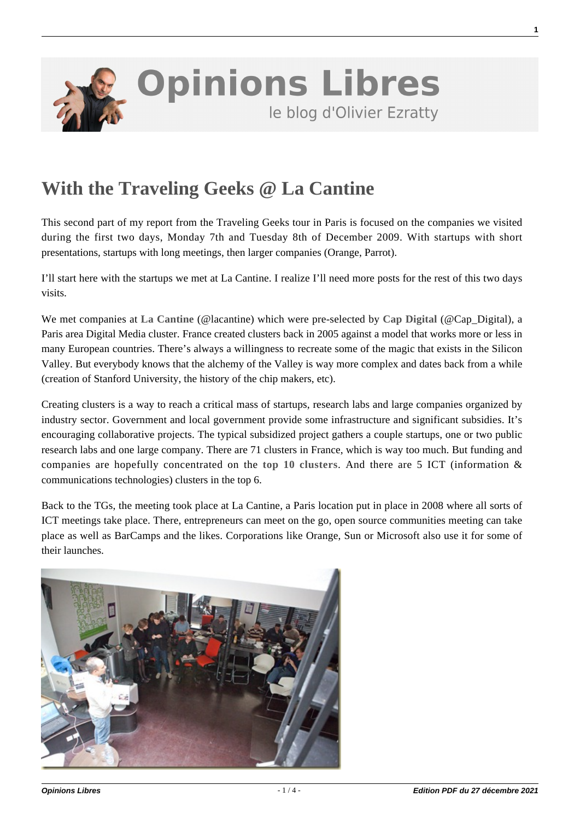

## **[With the Traveling Geeks @ La Cantine](https://www.oezratty.net/wordpress/2009/with-the-traveling-geeks-la-cantine/)**

This second part of my report from the Traveling Geeks tour in Paris is focused on the companies we visited during the first two days, Monday 7th and Tuesday 8th of December 2009. With startups with short presentations, startups with long meetings, then larger companies (Orange, Parrot).

I'll start here with the startups we met at La Cantine. I realize I'll need more posts for the rest of this two days visits.

We met companies at **[La Cantine](http://lacantine.org/)** (@lacantine) which were pre-selected by **[Cap Digital](http://www.capdigital.com/)** (@Cap\_Digital), a Paris area Digital Media cluster. France created clusters back in 2005 against a model that works more or less in many European countries. There's always a willingness to recreate some of the magic that exists in the Silicon Valley. But everybody knows that the alchemy of the Valley is way more complex and dates back from a while (creation of Stanford University, the history of the chip makers, etc).

Creating clusters is a way to reach a critical mass of startups, research labs and large companies organized by industry sector. Government and local government provide some infrastructure and significant subsidies. It's encouraging collaborative projects. The typical subsidized project gathers a couple startups, one or two public research labs and one large company. There are 71 clusters in France, which is way too much. But funding and companies are hopefully concentrated on the **[top 10 clusters](http://www.competitivite.gouv.fr/spip.php?article454)**. And there are 5 ICT (information & communications technologies) clusters in the top 6.

Back to the TGs, the meeting took place at La Cantine, a Paris location put in place in 2008 where all sorts of ICT meetings take place. There, entrepreneurs can meet on the go, open source communities meeting can take place as well as BarCamps and the likes. Corporations like Orange, Sun or Microsoft also use it for some of their launches.



**1**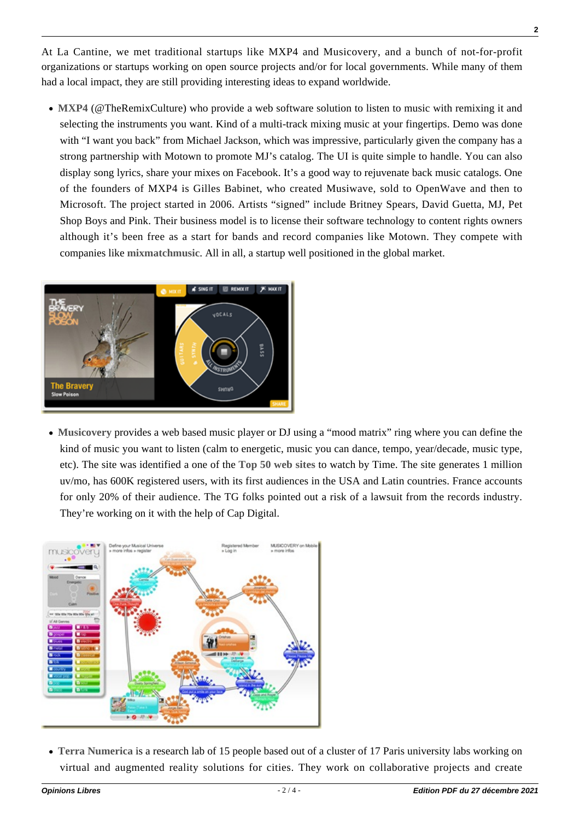At La Cantine, we met traditional startups like MXP4 and Musicovery, and a bunch of not-for-profit organizations or startups working on open source projects and/or for local governments. While many of them had a local impact, they are still providing interesting ideas to expand worldwide.

**[MXP4](http://www.mxp4.com/)** (@TheRemixCulture) who provide a web software solution to listen to music with remixing it and selecting the instruments you want. Kind of a multi-track mixing music at your fingertips. Demo was done with "I want you back" from Michael Jackson, which was impressive, particularly given the company has a strong partnership with Motown to promote MJ's catalog. The UI is quite simple to handle. You can also display song lyrics, share your mixes on Facebook. It's a good way to rejuvenate back music catalogs. One of the founders of MXP4 is Gilles Babinet, who created Musiwave, sold to OpenWave and then to Microsoft. The project started in 2006. Artists "signed" include Britney Spears, David Guetta, MJ, Pet Shop Boys and Pink. Their business model is to license their software technology to content rights owners although it's been free as a start for bands and record companies like Motown. They compete with companies like **[mixmatchmusic](http://www.mixmatchmusic.com/about)**. All in all, a startup well positioned in the global market.



**[Musicovery](http://musicovery.com)** provides a web based music player or DJ using a "mood matrix" ring where you can define the kind of music you want to listen (calm to energetic, music you can dance, tempo, year/decade, music type, etc). The site was identified a one of the **[Top 50 web sites](http://www.time.com/time/specials/packages/article/0,28804,1918031_1918016_1917958,00.html)** to watch by Time. The site generates 1 million uv/mo, has 600K registered users, with its first audiences in the USA and Latin countries. France accounts for only 20% of their audience. The TG folks pointed out a risk of a lawsuit from the records industry. They're working on it with the help of Cap Digital.



**[Terra Numerica](http://terranumerica.com/)** is a research lab of 15 people based out of a cluster of 17 Paris university labs working on virtual and augmented reality solutions for cities. They work on collaborative projects and create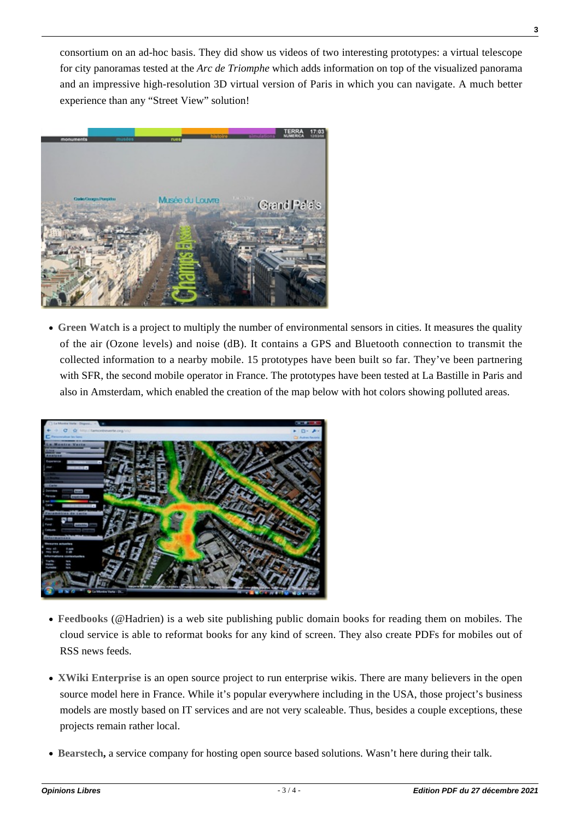consortium on an ad-hoc basis. They did show us videos of two interesting prototypes: a virtual telescope for city panoramas tested at the *Arc de Triomphe* which adds information on top of the visualized panorama and an impressive high-resolution 3D virtual version of Paris in which you can navigate. A much better experience than any "Street View" solution!



**[Green Watch](http://lamontreverte.org/en/)** is a project to multiply the number of environmental sensors in cities. It measures the quality of the air (Ozone levels) and noise (dB). It contains a GPS and Bluetooth connection to transmit the collected information to a nearby mobile. 15 prototypes have been built so far. They've been partnering with SFR, the second mobile operator in France. The prototypes have been tested at La Bastille in Paris and also in Amsterdam, which enabled the creation of the map below with hot colors showing polluted areas.



- **[Feedbooks](http://www.feedbooks.com/)** (@Hadrien) is a web site publishing public domain books for reading them on mobiles. The cloud service is able to reformat books for any kind of screen. They also create PDFs for mobiles out of RSS news feeds.
- **[XWiki Enterprise](http://enterprise.xwiki.org/xwiki/bin/view/Main/WebHome)** is an open source project to run enterprise wikis. There are many believers in the open source model here in France. While it's popular everywhere including in the USA, those project's business models are mostly based on IT services and are not very scaleable. Thus, besides a couple exceptions, these projects remain rather local.
- **[Bearstech](http://bearstech.com/), a service company for hosting open source based solutions. Wasn't here during their talk.**